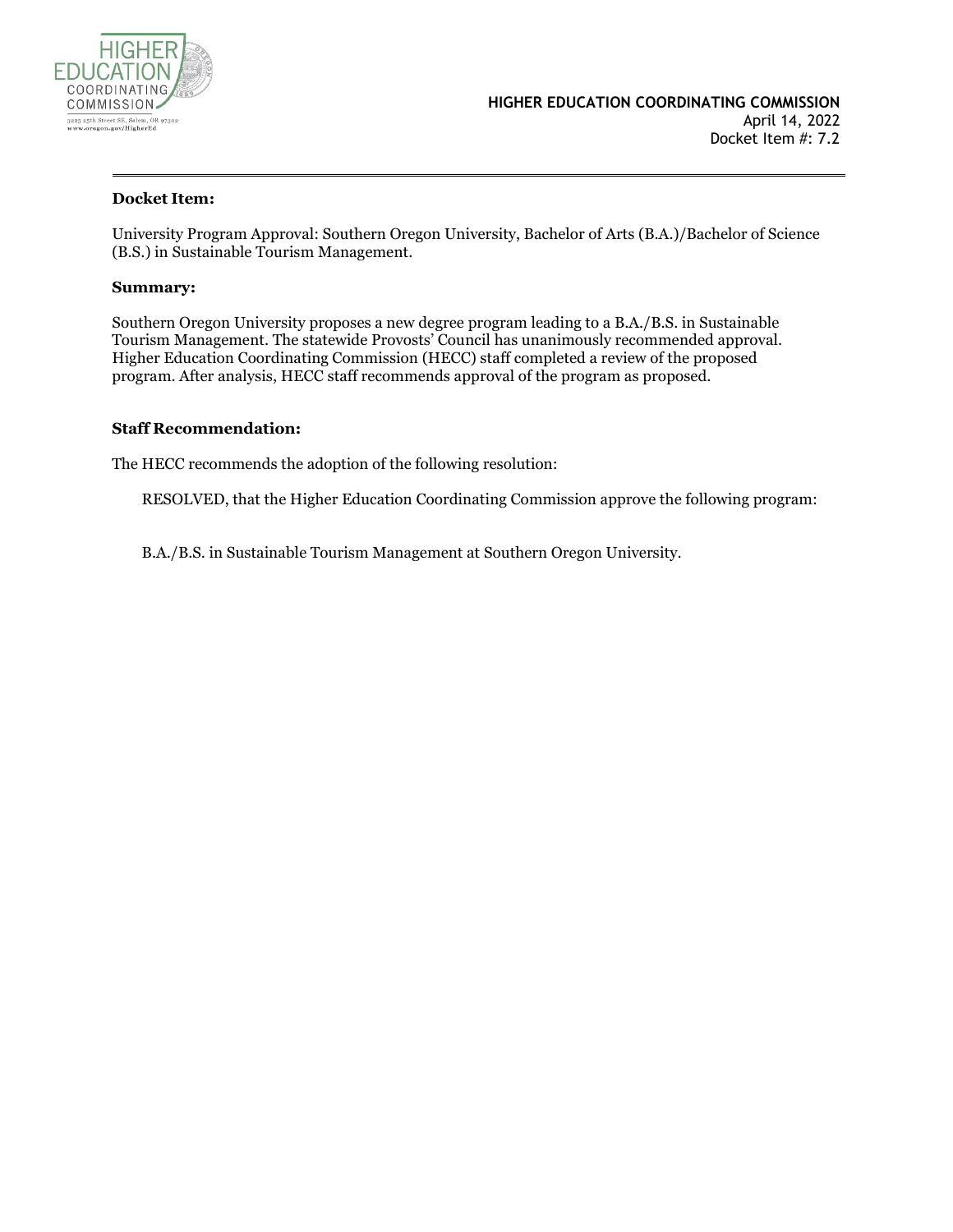

#### **Docket Item:**

University Program Approval: Southern Oregon University, Bachelor of Arts (B.A.)/Bachelor of Science (B.S.) in Sustainable Tourism Management.

#### **Summary:**

Southern Oregon University proposes a new degree program leading to a B.A./B.S. in Sustainable Tourism Management. The statewide Provosts' Council has unanimously recommended approval. Higher Education Coordinating Commission (HECC) staff completed a review of the proposed program. After analysis, HECC staff recommends approval of the program as proposed.

#### **Staff Recommendation:**

The HECC recommends the adoption of the following resolution:

RESOLVED, that the Higher Education Coordinating Commission approve the following program:

B.A./B.S. in Sustainable Tourism Management at Southern Oregon University.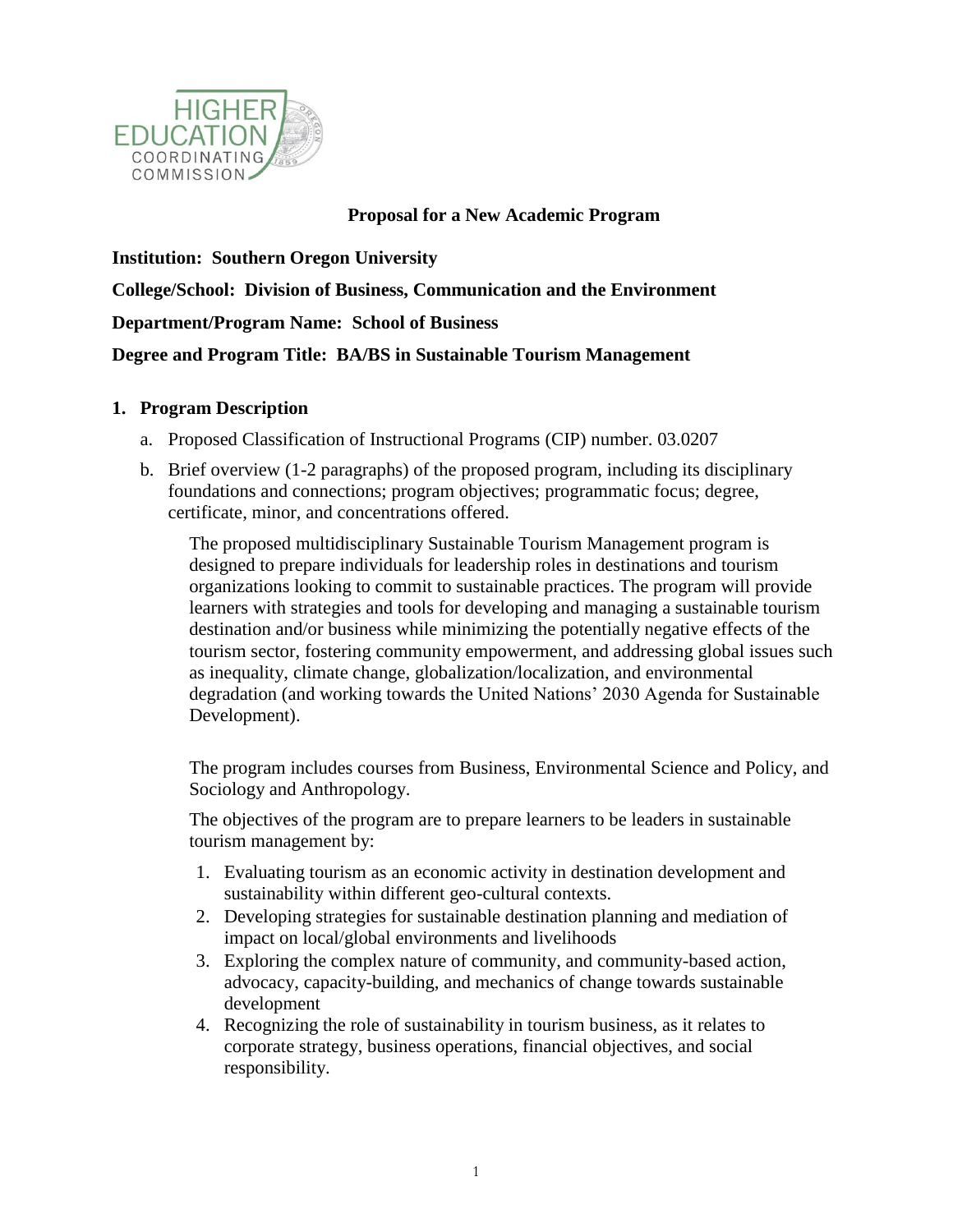

### **Proposal for a New Academic Program**

**Institution: Southern Oregon University College/School: Division of Business, Communication and the Environment Department/Program Name: School of Business Degree and Program Title: BA/BS in Sustainable Tourism Management** 

### **1. Program Description**

- a. Proposed Classification of Instructional Programs (CIP) number. 03.0207
- b. Brief overview (1-2 paragraphs) of the proposed program, including its disciplinary foundations and connections; program objectives; programmatic focus; degree, certificate, minor, and concentrations offered.

The proposed multidisciplinary Sustainable Tourism Management program is designed to prepare individuals for leadership roles in destinations and tourism organizations looking to commit to sustainable practices. The program will provide learners with strategies and tools for developing and managing a sustainable tourism destination and/or business while minimizing the potentially negative effects of the tourism sector, fostering community empowerment, and addressing global issues such as inequality, climate change, globalization/localization, and environmental degradation (and working towards the United Nations' 2030 Agenda for Sustainable Development).

The program includes courses from Business, Environmental Science and Policy, and Sociology and Anthropology.

The objectives of the program are to prepare learners to be leaders in sustainable tourism management by:

- 1. Evaluating tourism as an economic activity in destination development and sustainability within different geo-cultural contexts.
- 2. Developing strategies for sustainable destination planning and mediation of impact on local/global environments and livelihoods
- 3. Exploring the complex nature of community, and community-based action, advocacy, capacity-building, and mechanics of change towards sustainable development
- 4. Recognizing the role of sustainability in tourism business, as it relates to corporate strategy, business operations, financial objectives, and social responsibility.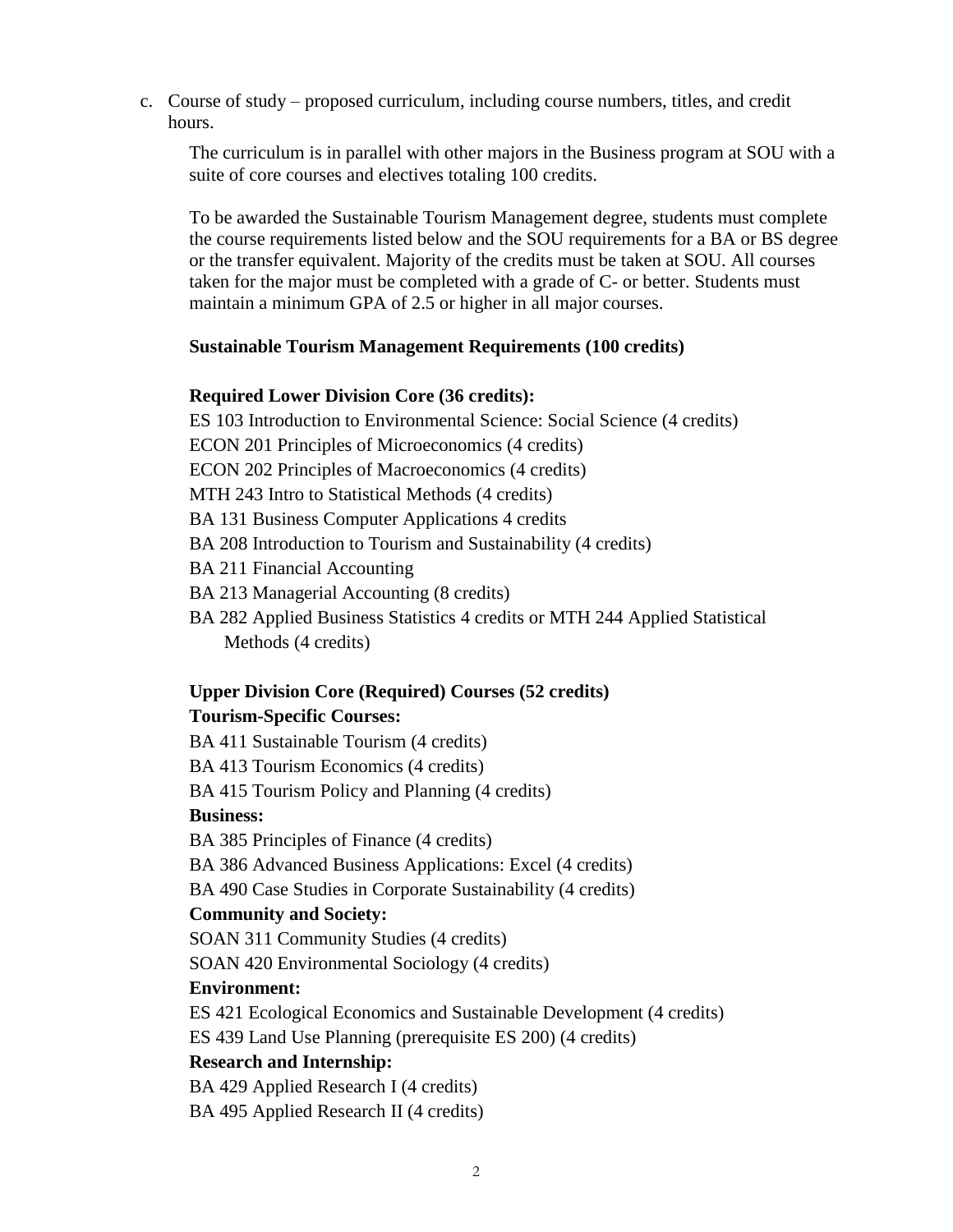c. Course of study – proposed curriculum, including course numbers, titles, and credit hours.

The curriculum is in parallel with other majors in the Business program at SOU with a suite of core courses and electives totaling 100 credits.

To be awarded the Sustainable Tourism Management degree, students must complete the course requirements listed below and the SOU requirements for a BA or BS degree or the transfer equivalent. Majority of the credits must be taken at SOU. All courses taken for the major must be completed with a grade of C- or better. Students must maintain a minimum GPA of 2.5 or higher in all major courses.

### **Sustainable Tourism Management Requirements (100 credits)**

### **Required Lower Division Core (36 credits):**

ES 103 Introduction to Environmental Science: Social Science (4 credits) ECON 201 Principles of Microeconomics (4 credits) ECON 202 Principles of Macroeconomics (4 credits) MTH 243 Intro to Statistical Methods (4 credits) BA 131 Business Computer Applications 4 credits BA 208 Introduction to Tourism and Sustainability (4 credits) BA 211 Financial Accounting BA 213 Managerial Accounting (8 credits) BA 282 Applied Business Statistics 4 credits or MTH 244 Applied Statistical Methods (4 credits)

# **Upper Division Core (Required) Courses (52 credits)**

### **Tourism-Specific Courses:**

BA 411 Sustainable Tourism (4 credits) BA 413 Tourism Economics (4 credits)

BA 415 Tourism Policy and Planning (4 credits)

### **Business:**

BA 385 Principles of Finance (4 credits)

BA 386 Advanced Business Applications: Excel (4 credits)

BA 490 Case Studies in Corporate Sustainability (4 credits)

### **Community and Society:**

SOAN 311 Community Studies (4 credits)

SOAN 420 Environmental Sociology (4 credits)

### **Environment:**

ES 421 Ecological Economics and Sustainable Development (4 credits)

ES 439 Land Use Planning (prerequisite ES 200) (4 credits)

### **Research and Internship:**

BA 429 Applied Research I (4 credits)

BA 495 Applied Research II (4 credits)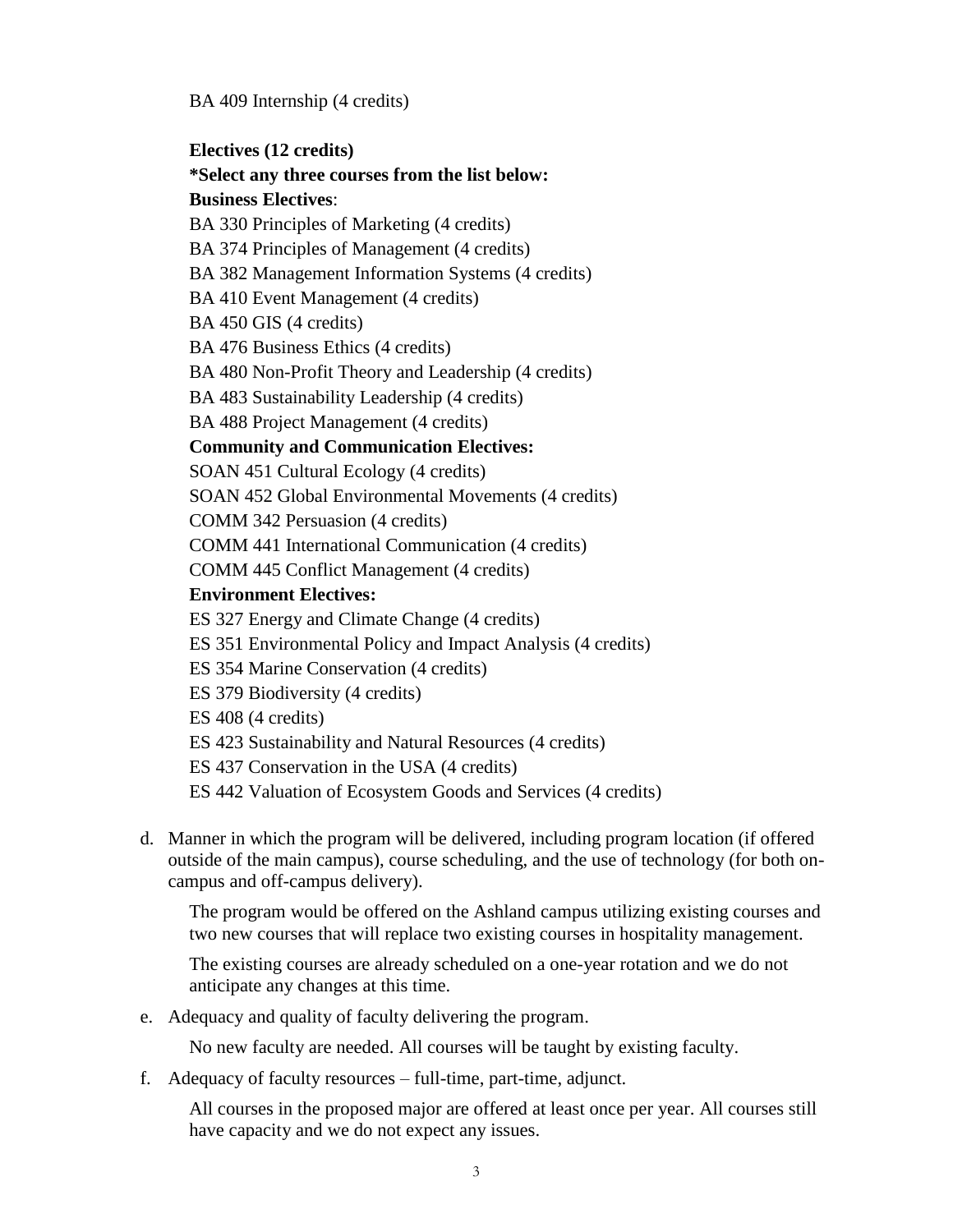BA 409 Internship (4 credits)

**Electives (12 credits)**

**\*Select any three courses from the list below: Business Electives**: BA 330 Principles of Marketing (4 credits) BA 374 Principles of Management (4 credits) BA 382 Management Information Systems (4 credits) BA 410 Event Management (4 credits) BA 450 GIS (4 credits) BA 476 Business Ethics (4 credits) BA 480 Non-Profit Theory and Leadership (4 credits) BA 483 Sustainability Leadership (4 credits) BA 488 Project Management (4 credits) **Community and Communication Electives:** SOAN 451 Cultural Ecology (4 credits) SOAN 452 Global Environmental Movements (4 credits)

COMM 342 Persuasion (4 credits)

COMM 441 International Communication (4 credits)

COMM 445 Conflict Management (4 credits)

## **Environment Electives:**

- ES 327 Energy and Climate Change (4 credits)
- ES 351 Environmental Policy and Impact Analysis (4 credits)
- ES 354 Marine Conservation (4 credits)
- ES 379 Biodiversity (4 credits)
- ES 408 (4 credits)
- ES 423 Sustainability and Natural Resources (4 credits)
- ES 437 Conservation in the USA (4 credits)
- ES 442 Valuation of Ecosystem Goods and Services (4 credits)
- d. Manner in which the program will be delivered, including program location (if offered outside of the main campus), course scheduling, and the use of technology (for both oncampus and off-campus delivery).

The program would be offered on the Ashland campus utilizing existing courses and two new courses that will replace two existing courses in hospitality management.

The existing courses are already scheduled on a one-year rotation and we do not anticipate any changes at this time.

e. Adequacy and quality of faculty delivering the program.

No new faculty are needed. All courses will be taught by existing faculty.

f. Adequacy of faculty resources – full-time, part-time, adjunct.

All courses in the proposed major are offered at least once per year. All courses still have capacity and we do not expect any issues.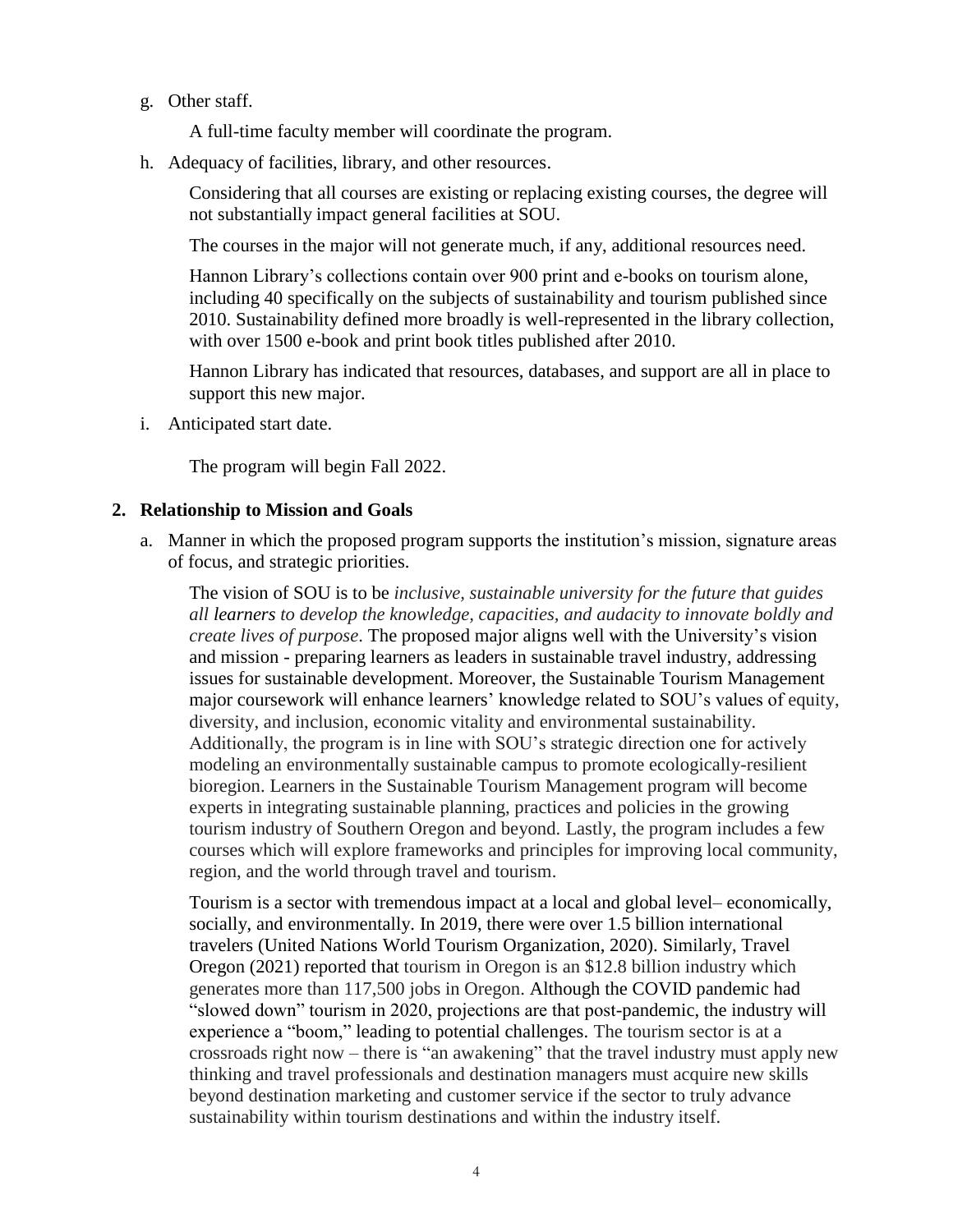g. Other staff.

A full-time faculty member will coordinate the program.

h. Adequacy of facilities, library, and other resources.

Considering that all courses are existing or replacing existing courses, the degree will not substantially impact general facilities at SOU.

The courses in the major will not generate much, if any, additional resources need.

Hannon Library's collections contain over 900 print and e-books on tourism alone, including 40 specifically on the subjects of sustainability and tourism published since 2010. Sustainability defined more broadly is well-represented in the library collection, with over 1500 e-book and print book titles published after 2010.

Hannon Library has indicated that resources, databases, and support are all in place to support this new major.

i. Anticipated start date.

The program will begin Fall 2022.

### **2. Relationship to Mission and Goals**

a. Manner in which the proposed program supports the institution's mission, signature areas of focus, and strategic priorities.

The vision of SOU is to be *inclusive, sustainable university for the future that guides all learners to develop the knowledge, capacities, and audacity to innovate boldly and create lives of purpose*. The proposed major aligns well with the University's vision and mission - preparing learners as leaders in sustainable travel industry, addressing issues for sustainable development. Moreover, the Sustainable Tourism Management major coursework will enhance learners' knowledge related to SOU's values of equity, diversity, and inclusion, economic vitality and environmental sustainability. Additionally, the program is in line with SOU's strategic direction one for actively modeling an environmentally sustainable campus to promote ecologically-resilient bioregion. Learners in the Sustainable Tourism Management program will become experts in integrating sustainable planning, practices and policies in the growing tourism industry of Southern Oregon and beyond. Lastly, the program includes a few courses which will explore frameworks and principles for improving local community, region, and the world through travel and tourism.

Tourism is a sector with tremendous impact at a local and global level– economically, socially, and environmentally. In 2019, there were over 1.5 billion international travelers (United Nations World Tourism Organization, 2020). Similarly, Travel Oregon (2021) reported that tourism in Oregon is an \$12.8 billion industry which generates more than 117,500 jobs in Oregon. Although the COVID pandemic had "slowed down" tourism in 2020, projections are that post-pandemic, the industry will experience a "boom," leading to potential challenges. The tourism sector is at a crossroads right now – there is "an awakening" that the travel industry must apply new thinking and travel professionals and destination managers must acquire new skills beyond destination marketing and customer service if the sector to truly advance sustainability within tourism destinations and within the industry itself.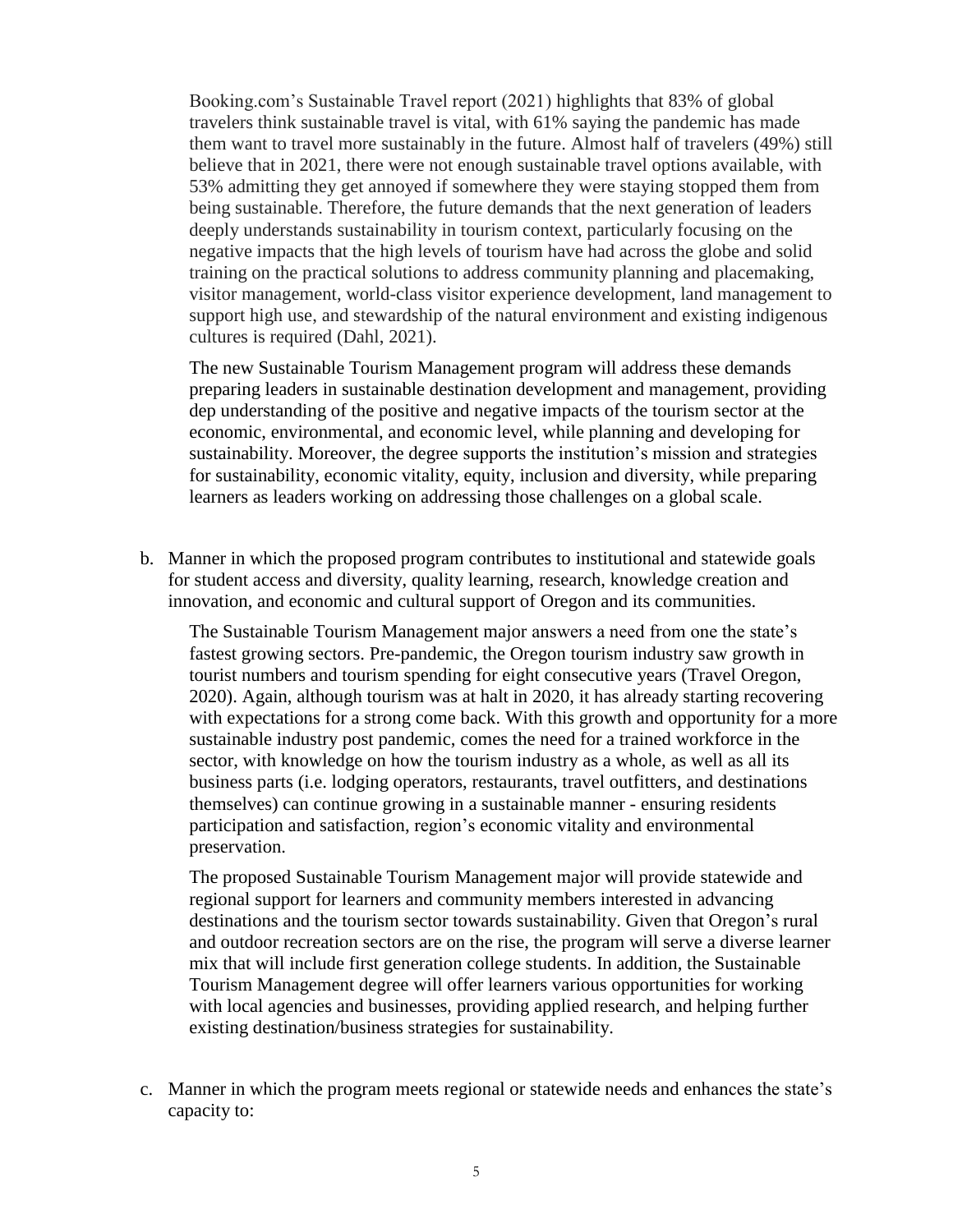Booking.com's Sustainable Travel report (2021) highlights that 83% of global travelers think sustainable travel is vital, with 61% saying the pandemic has made them want to travel more sustainably in the future. Almost half of travelers (49%) still believe that in 2021, there were not enough sustainable travel options available, with 53% admitting they get annoyed if somewhere they were staying stopped them from being sustainable. Therefore, the future demands that the next generation of leaders deeply understands sustainability in tourism context, particularly focusing on the negative impacts that the high levels of tourism have had across the globe and solid training on the practical solutions to address community planning and placemaking, visitor management, world-class visitor experience development, land management to support high use, and stewardship of the natural environment and existing indigenous cultures is required (Dahl, 2021).

The new Sustainable Tourism Management program will address these demands preparing leaders in sustainable destination development and management, providing dep understanding of the positive and negative impacts of the tourism sector at the economic, environmental, and economic level, while planning and developing for sustainability. Moreover, the degree supports the institution's mission and strategies for sustainability, economic vitality, equity, inclusion and diversity, while preparing learners as leaders working on addressing those challenges on a global scale.

b. Manner in which the proposed program contributes to institutional and statewide goals for student access and diversity, quality learning, research, knowledge creation and innovation, and economic and cultural support of Oregon and its communities.

The Sustainable Tourism Management major answers a need from one the state's fastest growing sectors. Pre-pandemic, the Oregon tourism industry saw growth in tourist numbers and tourism spending for eight consecutive years (Travel Oregon, 2020). Again, although tourism was at halt in 2020, it has already starting recovering with expectations for a strong come back. With this growth and opportunity for a more sustainable industry post pandemic, comes the need for a trained workforce in the sector, with knowledge on how the tourism industry as a whole, as well as all its business parts (i.e. lodging operators, restaurants, travel outfitters, and destinations themselves) can continue growing in a sustainable manner - ensuring residents participation and satisfaction, region's economic vitality and environmental preservation.

The proposed Sustainable Tourism Management major will provide statewide and regional support for learners and community members interested in advancing destinations and the tourism sector towards sustainability. Given that Oregon's rural and outdoor recreation sectors are on the rise, the program will serve a diverse learner mix that will include first generation college students. In addition, the Sustainable Tourism Management degree will offer learners various opportunities for working with local agencies and businesses, providing applied research, and helping further existing destination/business strategies for sustainability.

c. Manner in which the program meets regional or statewide needs and enhances the state's capacity to: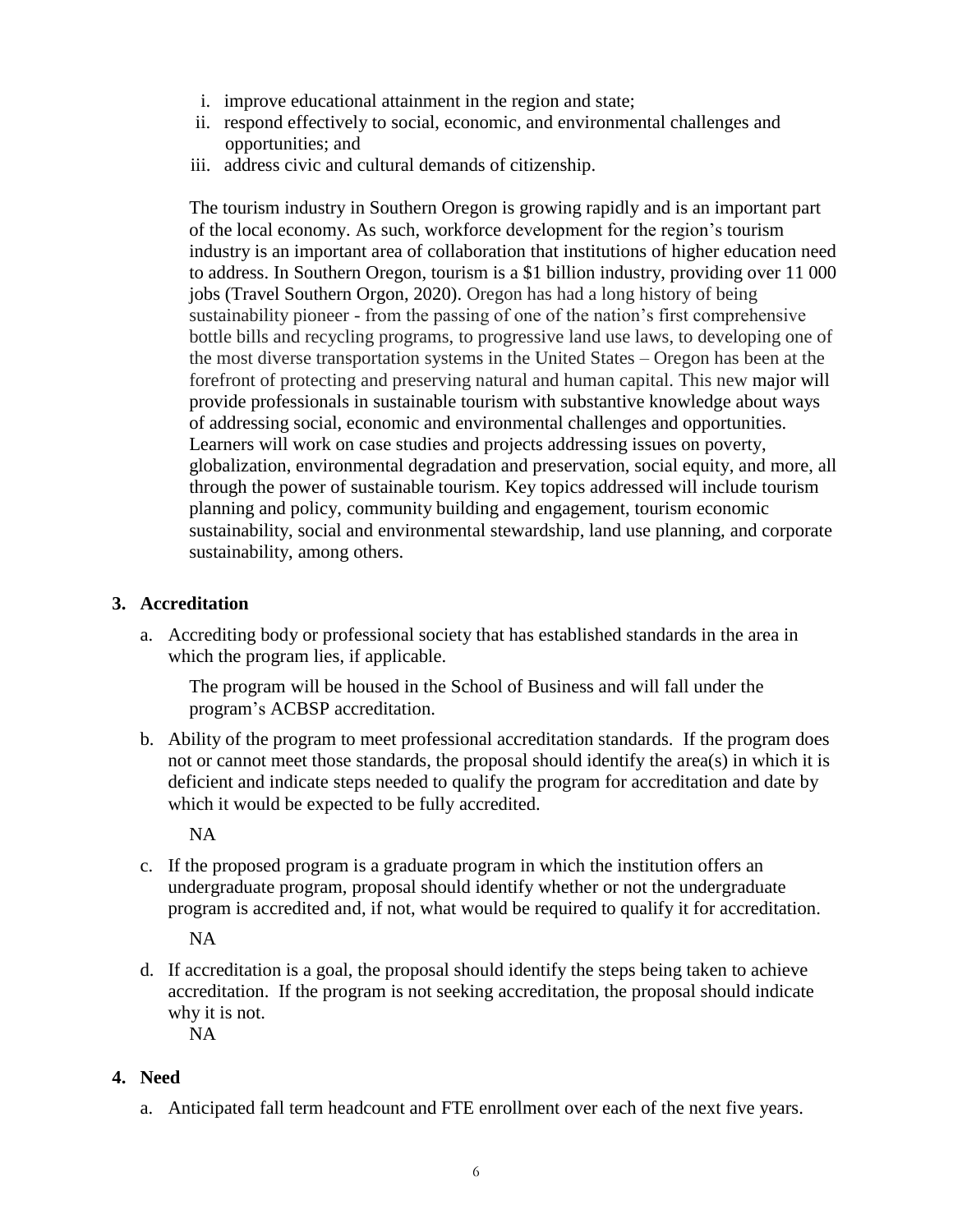- i. improve educational attainment in the region and state;
- ii. respond effectively to social, economic, and environmental challenges and opportunities; and
- iii. address civic and cultural demands of citizenship.

The tourism industry in Southern Oregon is growing rapidly and is an important part of the local economy. As such, workforce development for the region's tourism industry is an important area of collaboration that institutions of higher education need to address. In Southern Oregon, tourism is a \$1 billion industry, providing over 11 000 jobs (Travel Southern Orgon, 2020). Oregon has had a long history of being sustainability pioneer - from the passing of one of the nation's first comprehensive bottle bills and recycling programs, to progressive land use laws, to developing one of the most diverse transportation systems in the United States – Oregon has been at the forefront of protecting and preserving natural and human capital. This new major will provide professionals in sustainable tourism with substantive knowledge about ways of addressing social, economic and environmental challenges and opportunities. Learners will work on case studies and projects addressing issues on poverty, globalization, environmental degradation and preservation, social equity, and more, all through the power of sustainable tourism. Key topics addressed will include tourism planning and policy, community building and engagement, tourism economic sustainability, social and environmental stewardship, land use planning, and corporate sustainability, among others.

## **3. Accreditation**

a. Accrediting body or professional society that has established standards in the area in which the program lies, if applicable.

The program will be housed in the School of Business and will fall under the program's ACBSP accreditation.

b. Ability of the program to meet professional accreditation standards. If the program does not or cannot meet those standards, the proposal should identify the area(s) in which it is deficient and indicate steps needed to qualify the program for accreditation and date by which it would be expected to be fully accredited.

NA

c. If the proposed program is a graduate program in which the institution offers an undergraduate program, proposal should identify whether or not the undergraduate program is accredited and, if not, what would be required to qualify it for accreditation.

NA

d. If accreditation is a goal, the proposal should identify the steps being taken to achieve accreditation. If the program is not seeking accreditation, the proposal should indicate why it is not.

NA

# **4. Need**

a. Anticipated fall term headcount and FTE enrollment over each of the next five years.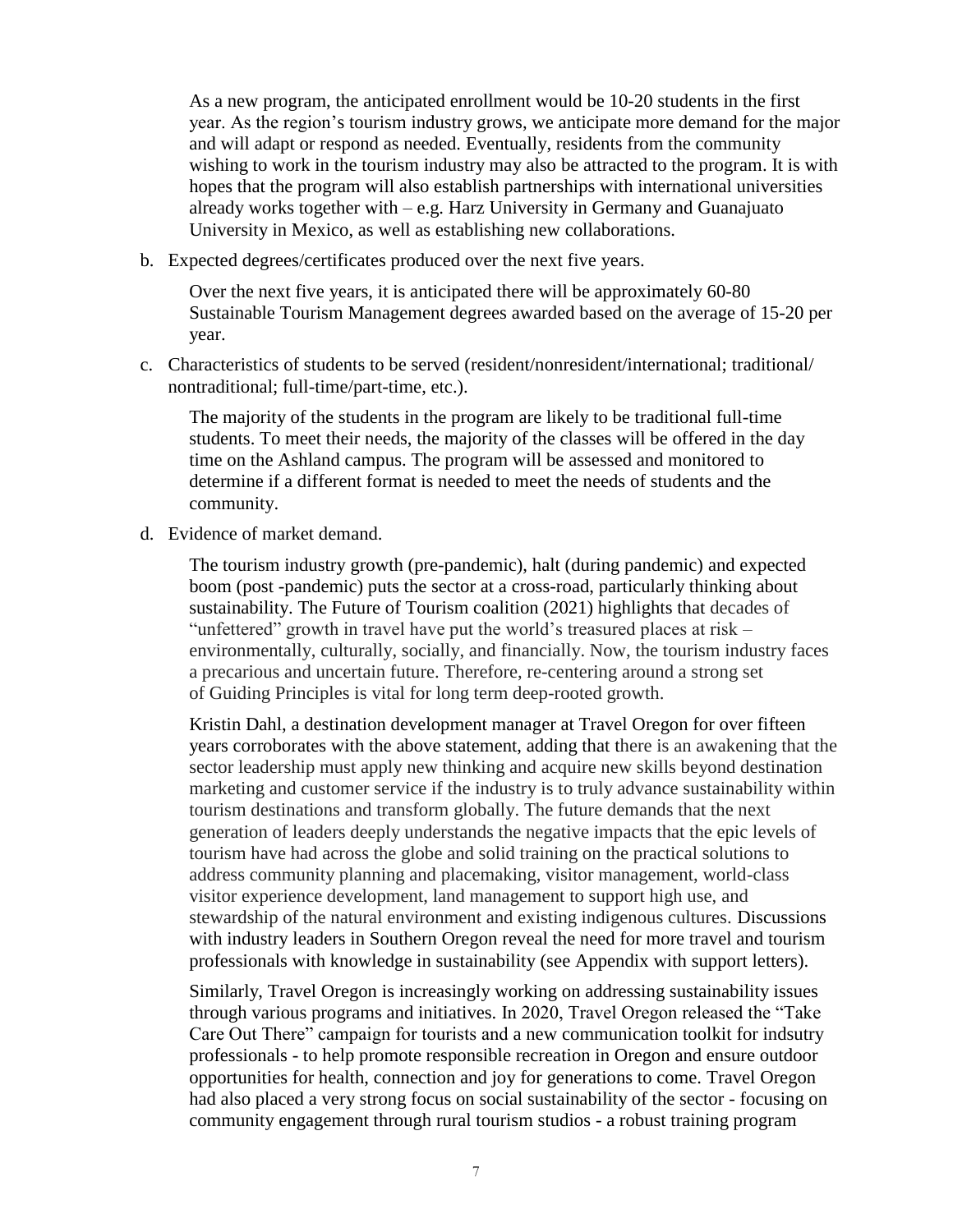As a new program, the anticipated enrollment would be 10-20 students in the first year. As the region's tourism industry grows, we anticipate more demand for the major and will adapt or respond as needed. Eventually, residents from the community wishing to work in the tourism industry may also be attracted to the program. It is with hopes that the program will also establish partnerships with international universities already works together with – e.g. Harz University in Germany and Guanajuato University in Mexico, as well as establishing new collaborations.

b. Expected degrees/certificates produced over the next five years.

Over the next five years, it is anticipated there will be approximately 60-80 Sustainable Tourism Management degrees awarded based on the average of 15-20 per year.

c. Characteristics of students to be served (resident/nonresident/international; traditional/ nontraditional; full-time/part-time, etc.).

The majority of the students in the program are likely to be traditional full-time students. To meet their needs, the majority of the classes will be offered in the day time on the Ashland campus. The program will be assessed and monitored to determine if a different format is needed to meet the needs of students and the community.

d. Evidence of market demand.

The tourism industry growth (pre-pandemic), halt (during pandemic) and expected boom (post -pandemic) puts the sector at a cross-road, particularly thinking about sustainability. The Future of Tourism coalition (2021) highlights that decades of "unfettered" growth in travel have put the world's treasured places at risk – environmentally, culturally, socially, and financially. Now, the tourism industry faces a precarious and uncertain future. Therefore, re-centering around a strong set of Guiding Principles is vital for long term deep-rooted growth.

Kristin Dahl, a destination development manager at Travel Oregon for over fifteen years corroborates with the above statement, adding that there is an awakening that the sector leadership must apply new thinking and acquire new skills beyond destination marketing and customer service if the industry is to truly advance sustainability within tourism destinations and transform globally. The future demands that the next generation of leaders deeply understands the negative impacts that the epic levels of tourism have had across the globe and solid training on the practical solutions to address community planning and placemaking, visitor management, world-class visitor experience development, land management to support high use, and stewardship of the natural environment and existing indigenous cultures. Discussions with industry leaders in Southern Oregon reveal the need for more travel and tourism professionals with knowledge in sustainability (see Appendix with support letters).

Similarly, Travel Oregon is increasingly working on addressing sustainability issues through various programs and initiatives. In 2020, Travel Oregon released the "Take Care Out There" campaign for tourists and a new communication toolkit for indsutry professionals - to help promote responsible recreation in Oregon and ensure outdoor opportunities for health, connection and joy for generations to come. Travel Oregon had also placed a very strong focus on social sustainability of the sector - focusing on community engagement through rural tourism studios - a robust training program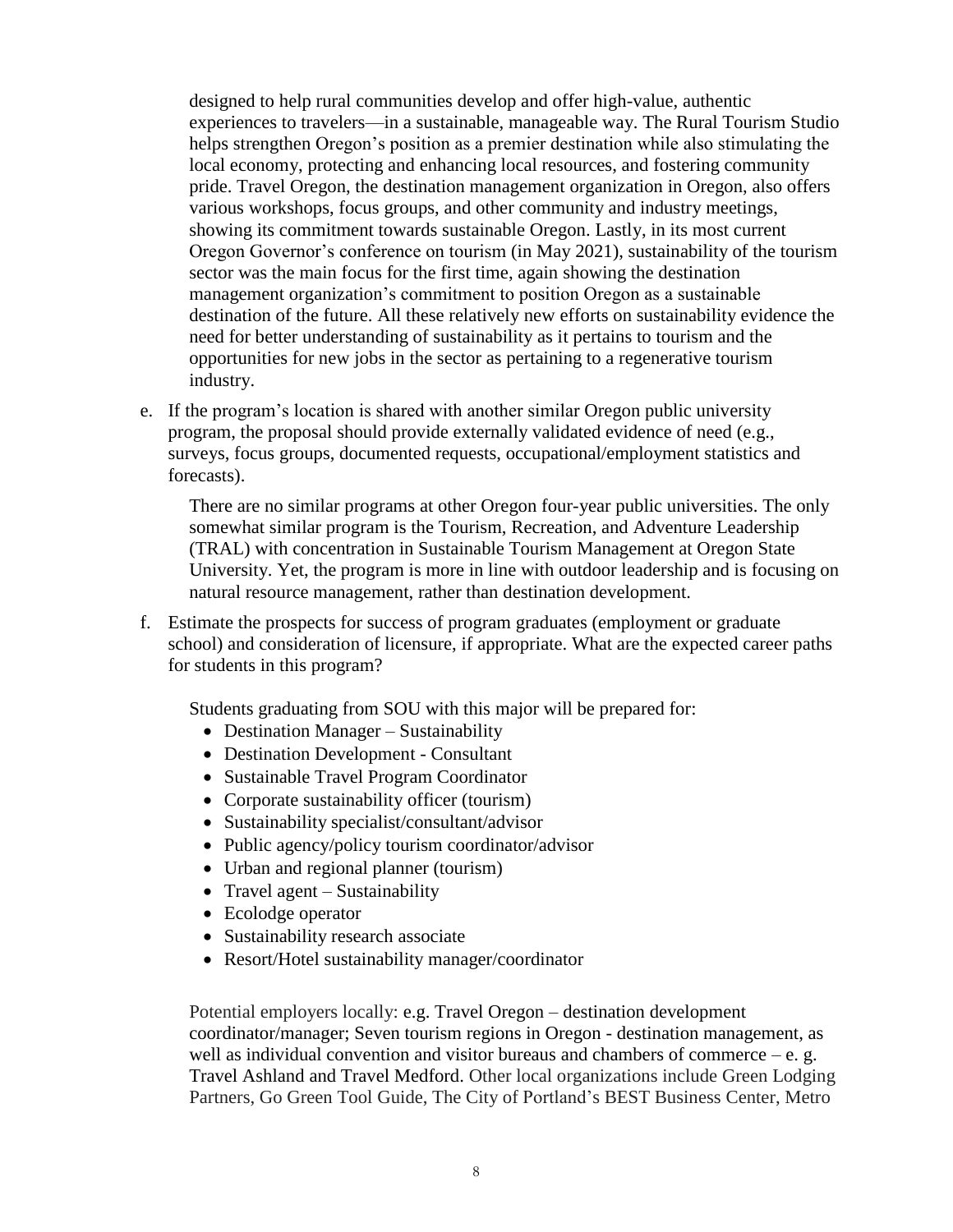designed to help rural communities develop and offer high-value, authentic experiences to travelers—in a sustainable, manageable way. The Rural Tourism Studio helps strengthen Oregon's position as a premier destination while also stimulating the local economy, protecting and enhancing local resources, and fostering community pride. Travel Oregon, the destination management organization in Oregon, also offers various workshops, focus groups, and other community and industry meetings, showing its commitment towards sustainable Oregon. Lastly, in its most current Oregon Governor's conference on tourism (in May 2021), sustainability of the tourism sector was the main focus for the first time, again showing the destination management organization's commitment to position Oregon as a sustainable destination of the future. All these relatively new efforts on sustainability evidence the need for better understanding of sustainability as it pertains to tourism and the opportunities for new jobs in the sector as pertaining to a regenerative tourism industry.

e. If the program's location is shared with another similar Oregon public university program, the proposal should provide externally validated evidence of need (e.g., surveys, focus groups, documented requests, occupational/employment statistics and forecasts).

There are no similar programs at other Oregon four-year public universities. The only somewhat similar program is the Tourism, Recreation, and Adventure Leadership (TRAL) with concentration in Sustainable Tourism Management at Oregon State University. Yet, the program is more in line with outdoor leadership and is focusing on natural resource management, rather than destination development.

f. Estimate the prospects for success of program graduates (employment or graduate school) and consideration of licensure, if appropriate. What are the expected career paths for students in this program?

Students graduating from SOU with this major will be prepared for:

- Destination Manager Sustainability
- Destination Development Consultant
- Sustainable Travel Program Coordinator
- Corporate sustainability officer (tourism)
- Sustainability specialist/consultant/advisor
- Public agency/policy tourism coordinator/advisor
- Urban and regional planner (tourism)
- Travel agent Sustainability
- Ecolodge operator
- Sustainability research associate
- Resort/Hotel sustainability manager/coordinator

Potential employers locally: e.g. Travel Oregon – destination development coordinator/manager; Seven tourism regions in Oregon - destination management, as well as individual convention and visitor bureaus and chambers of commerce  $-e$ . g. Travel Ashland and Travel Medford. Other local organizations include Green [Lodging](http://www.greenlodgingpartners.com/) [Partners,](http://www.greenlodgingpartners.com/) Go Green Tool [Guide,](http://gogreenbusiness.co.uk/about-us/go-green-tool-guide/) The City of [Portland's](http://bestbusinesscenter.org/) BEST Business Center, [Metro](http://www.recycleatwork.com/)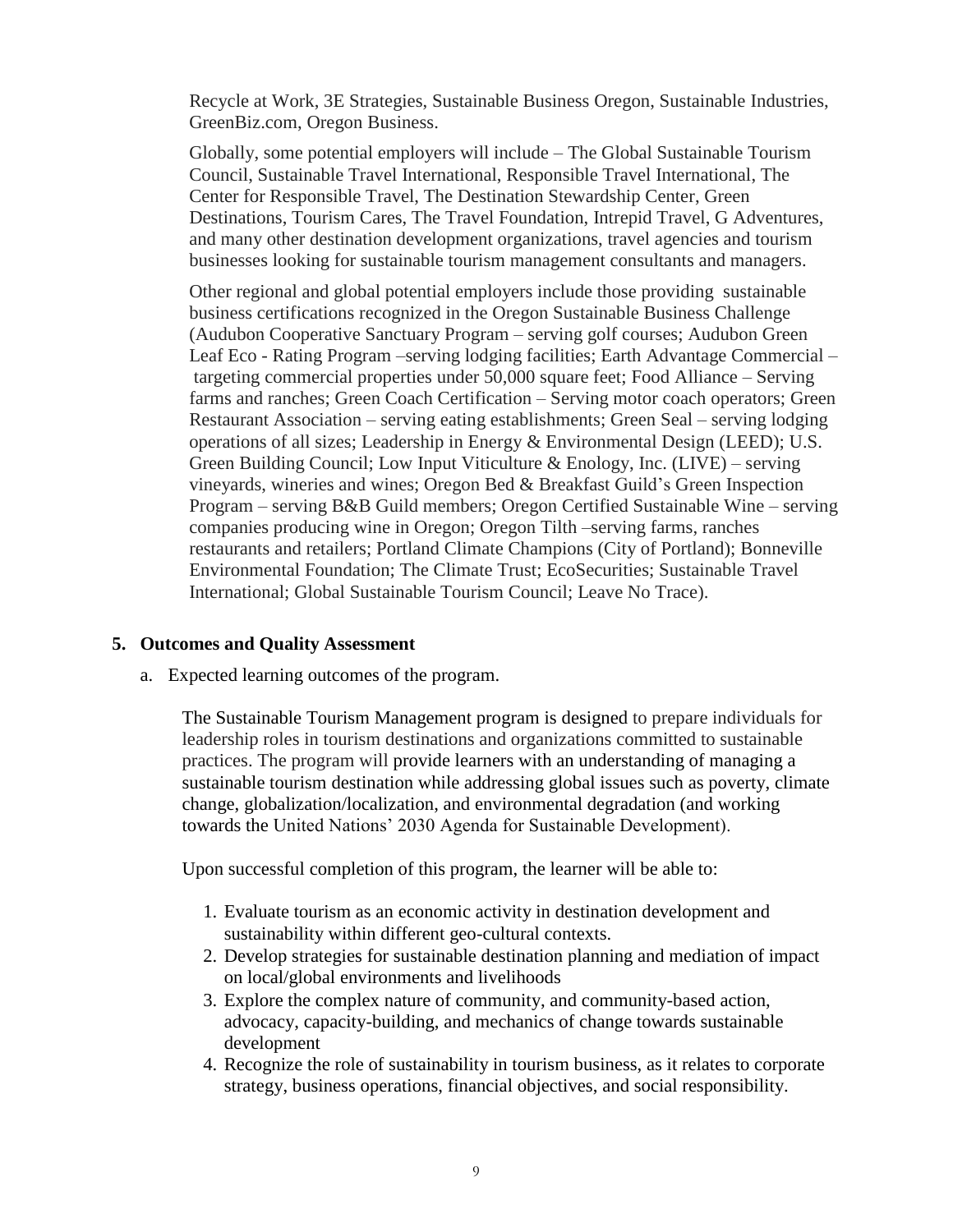[Recycle](http://www.recycleatwork.com/) at Work, 3E [Strategies,](http://www.3estrategies.org/) [Sustainable](http://www.sustainablebusinessoregon.com/) Business Oregon, [Sustainable](http://www.sustainableindustries.com/) Industries, [GreenBiz.com,](http://www.greenbiz.com/) Oregon [Business.](http://www.oregonbusiness.com/)

Globally, some potential employers will include – The Global Sustainable Tourism Council, Sustainable Travel International, Responsible Travel International, The Center for Responsible Travel, The Destination Stewardship Center, Green Destinations, Tourism Cares, The Travel Foundation, Intrepid Travel, G Adventures, and many other destination development organizations, travel agencies and tourism businesses looking for sustainable tourism management consultants and managers.

Other regional and global potential employers include those providing sustainable business certifications recognized in the Oregon Sustainable Business Challenge (Audubon [Cooperative](http://www.auduboninternational.org/acspgolf) Sanctuary Program – serving golf courses; [Audubon](http://www.auduboninternational.org/green-lodging) Green Leaf Eco - Rating [Program](http://www.auduboninternational.org/green-lodging) –serving lodging facilities; Earth Advantage [Commercial](http://www.earthadvantage.org/) – targeting commercial properties under 50,000 square feet; Food [Alliance](http://www.foodalliance.org/) – Serving farms and ranches; Green Coach [Certification](http://www.uvm.edu/~snrvtdc/?Page=greencoach.html) – Serving motor coach operators; [Green](http://www.dinegreen.com/) Restaurant [Association](http://www.dinegreen.com/) – serving eating establishments; [Green](http://www.greenseal.org/) Seal – serving lodging operations of all sizes; Leadership in Energy  $\&$  [Environmental](http://www.usgbc.org/) Design (LEED); U.S. Green [Building](http://www.usgbc.org/) Council; Low Input [Viticulture](http://www.liveinc.org/) & Enology, Inc. (LIVE) – serving vineyards, wineries and wines; Oregon Bed & Breakfast Guild's Green [Inspection](http://www.obbg.org/oregon-green-travel.php) [Program](http://www.obbg.org/oregon-green-travel.php) – serving B&B Guild members; Oregon Certified [Sustainable](http://www.ocsw.org/) Wine – serving companies producing wine in Oregon; [Oregon](http://www.tilth.org/) Tilth –serving farms, ranches restaurants and retailers; Portland Climate [Champions](http://www.bestbusinesscenter.org/recognition/climatechampions) (City of Portland); [Bonneville](http://www.b-e-f.org/business) [Environmental](http://www.b-e-f.org/business) Foundation; The [Climate](http://www.climatetrust.org/) Trust; [EcoSecurities;](http://www.ecosecurities.com/) [Sustainable](https://sustainabletravel.org/our-work/solutions-for-businesses/carbon-emissions-and-offsets/) Travel [International;](https://sustainabletravel.org/our-work/solutions-for-businesses/carbon-emissions-and-offsets/) Global [Sustainable](http://www.gstcouncil.org/resource-center/responsible-travel-tips.html) Tourism Council; [Leave](http://lnt.org/learn/7-principles) No Trace).

### **5. Outcomes and Quality Assessment**

a. Expected learning outcomes of the program.

The Sustainable Tourism Management program is designed to prepare individuals for leadership roles in tourism destinations and organizations committed to sustainable practices. The program will provide learners with an understanding of managing a sustainable tourism destination while addressing global issues such as poverty, climate change, globalization/localization, and environmental degradation (and working towards the United Nations' 2030 Agenda for Sustainable Development).

Upon successful completion of this program, the learner will be able to:

- 1. Evaluate tourism as an economic activity in destination development and sustainability within different geo-cultural contexts.
- 2. Develop strategies for sustainable destination planning and mediation of impact on local/global environments and livelihoods
- 3. Explore the complex nature of community, and community-based action, advocacy, capacity-building, and mechanics of change towards sustainable development
- 4. Recognize the role of sustainability in tourism business, as it relates to corporate strategy, business operations, financial objectives, and social responsibility.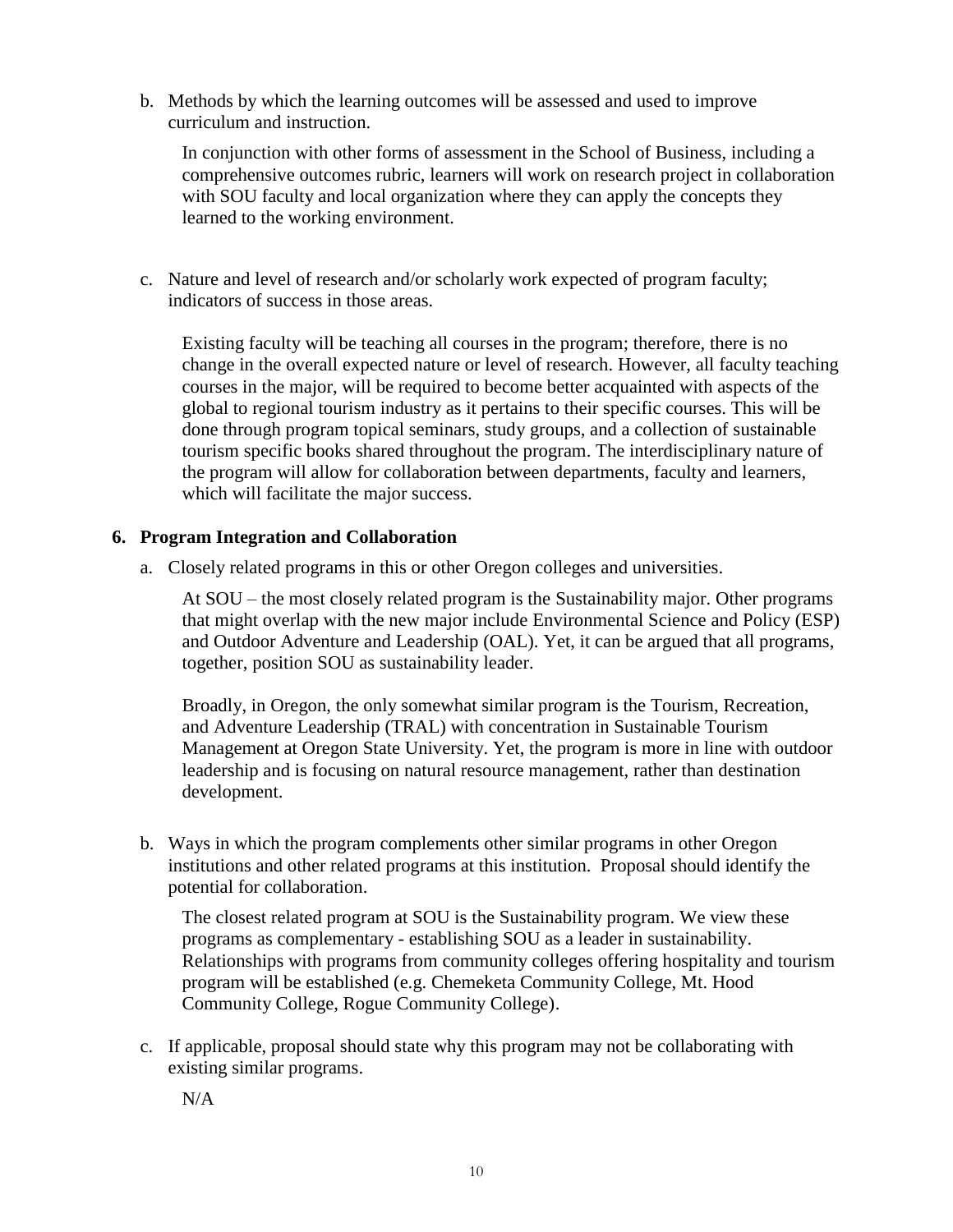b. Methods by which the learning outcomes will be assessed and used to improve curriculum and instruction.

In conjunction with other forms of assessment in the School of Business, including a comprehensive outcomes rubric, learners will work on research project in collaboration with SOU faculty and local organization where they can apply the concepts they learned to the working environment.

c. Nature and level of research and/or scholarly work expected of program faculty; indicators of success in those areas.

Existing faculty will be teaching all courses in the program; therefore, there is no change in the overall expected nature or level of research. However, all faculty teaching courses in the major, will be required to become better acquainted with aspects of the global to regional tourism industry as it pertains to their specific courses. This will be done through program topical seminars, study groups, and a collection of sustainable tourism specific books shared throughout the program. The interdisciplinary nature of the program will allow for collaboration between departments, faculty and learners, which will facilitate the major success.

### **6. Program Integration and Collaboration**

a. Closely related programs in this or other Oregon colleges and universities.

At SOU – the most closely related program is the Sustainability major. Other programs that might overlap with the new major include Environmental Science and Policy (ESP) and Outdoor Adventure and Leadership (OAL). Yet, it can be argued that all programs, together, position SOU as sustainability leader.

Broadly, in Oregon, the only somewhat similar program is the Tourism, Recreation, and Adventure Leadership (TRAL) with concentration in Sustainable Tourism Management at Oregon State University. Yet, the program is more in line with outdoor leadership and is focusing on natural resource management, rather than destination development.

b. Ways in which the program complements other similar programs in other Oregon institutions and other related programs at this institution. Proposal should identify the potential for collaboration.

The closest related program at SOU is the Sustainability program. We view these programs as complementary - establishing SOU as a leader in sustainability. Relationships with programs from community colleges offering hospitality and tourism program will be established (e.g. Chemeketa Community College, Mt. Hood Community College, Rogue Community College).

c. If applicable, proposal should state why this program may not be collaborating with existing similar programs.

N/A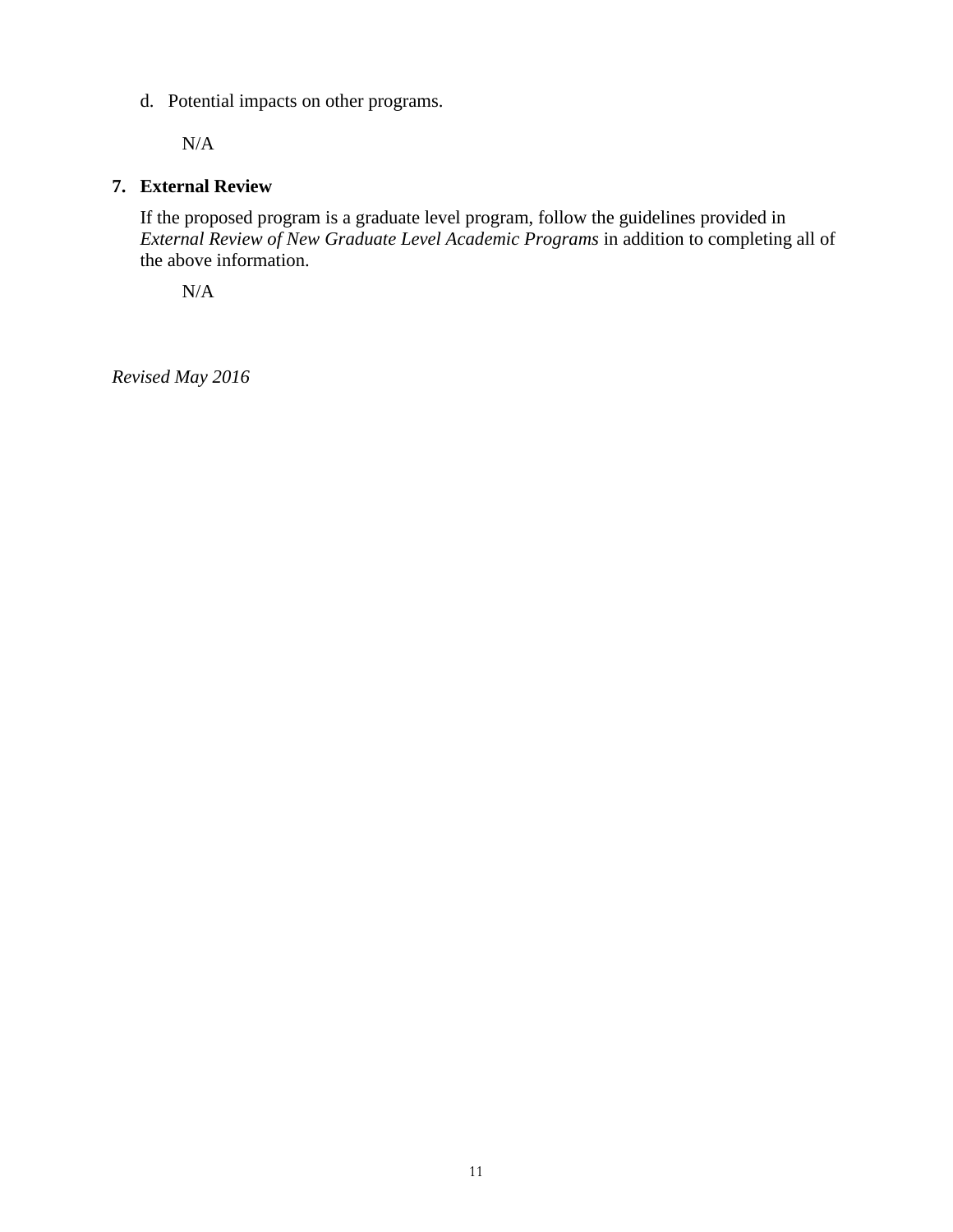d. Potential impacts on other programs.

N/A

# **7. External Review**

If the proposed program is a graduate level program, follow the guidelines provided in *External Review of New Graduate Level Academic Programs* in addition to completing all of the above information.

N/A

*Revised May 2016*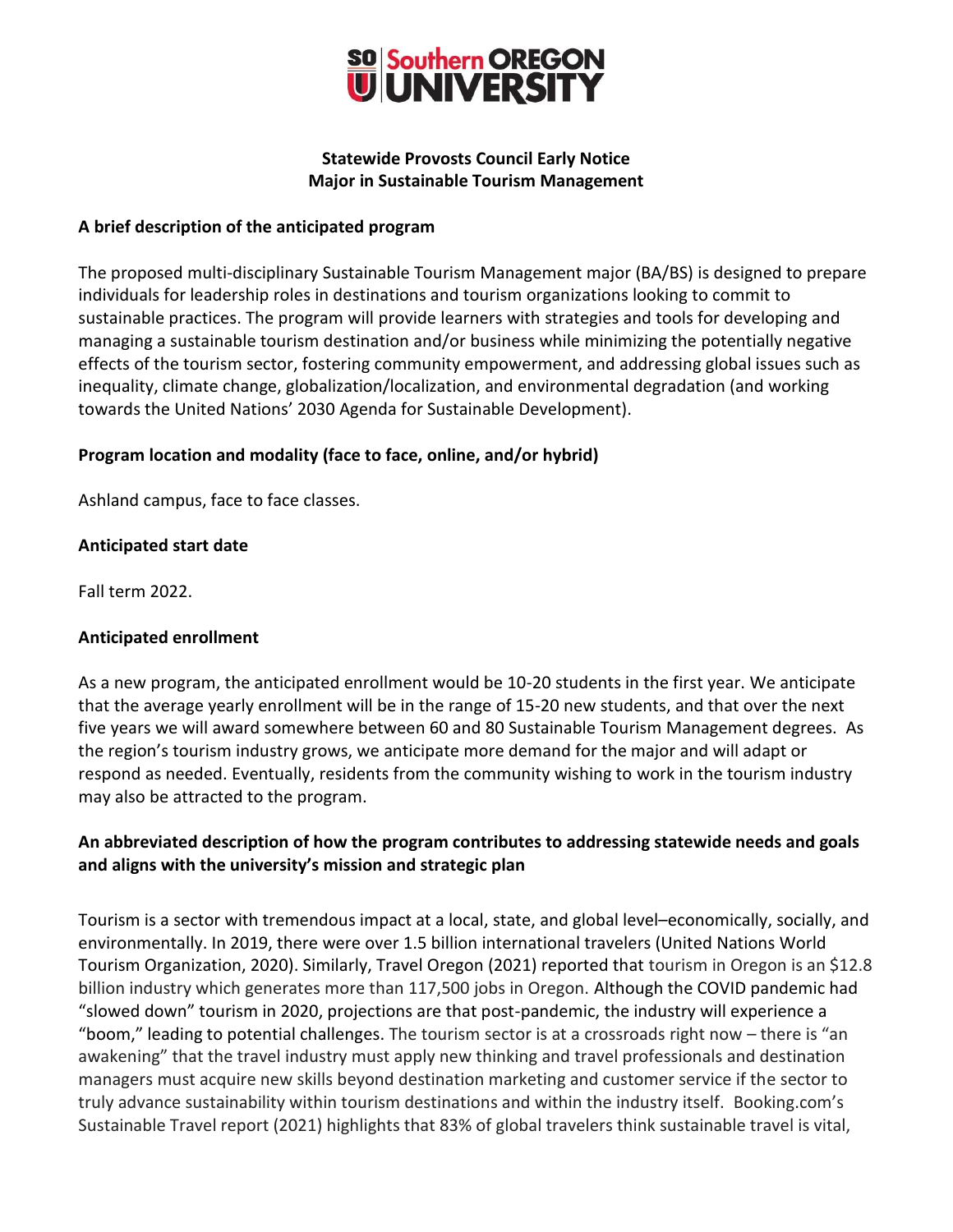

## **Statewide Provosts Council Early Notice Major in Sustainable Tourism Management**

## **A brief description of the anticipated program**

The proposed multi-disciplinary Sustainable Tourism Management major (BA/BS) is designed to prepare individuals for leadership roles in destinations and tourism organizations looking to commit to sustainable practices. The program will provide learners with strategies and tools for developing and managing a sustainable tourism destination and/or business while minimizing the potentially negative effects of the tourism sector, fostering community empowerment, and addressing global issues such as inequality, climate change, globalization/localization, and environmental degradation (and working towards the United Nations' 2030 Agenda for Sustainable Development).

## **Program location and modality (face to face, online, and/or hybrid)**

Ashland campus, face to face classes.

### **Anticipated start date**

Fall term 2022.

### **Anticipated enrollment**

As a new program, the anticipated enrollment would be 10-20 students in the first year. We anticipate that the average yearly enrollment will be in the range of 15-20 new students, and that over the next five years we will award somewhere between 60 and 80 Sustainable Tourism Management degrees. As the region's tourism industry grows, we anticipate more demand for the major and will adapt or respond as needed. Eventually, residents from the community wishing to work in the tourism industry may also be attracted to the program.

# **An abbreviated description of how the program contributes to addressing statewide needs and goals and aligns with the university's mission and strategic plan**

Tourism is a sector with tremendous impact at a local, state, and global level–economically, socially, and environmentally. In 2019, there were over 1.5 billion international travelers (United Nations World Tourism Organization, 2020). Similarly, Travel Oregon (2021) reported that tourism in Oregon is an \$12.8 billion industry which generates more than 117,500 jobs in Oregon. Although the COVID pandemic had "slowed down" tourism in 2020, projections are that post-pandemic, the industry will experience a "boom," leading to potential challenges. The tourism sector is at a crossroads right now – there is "an awakening" that the travel industry must apply new thinking and travel professionals and destination managers must acquire new skills beyond destination marketing and customer service if the sector to truly advance sustainability within tourism destinations and within the industry itself. Booking.com's Sustainable Travel report (2021) highlights that 83% of global travelers think sustainable travel is vital,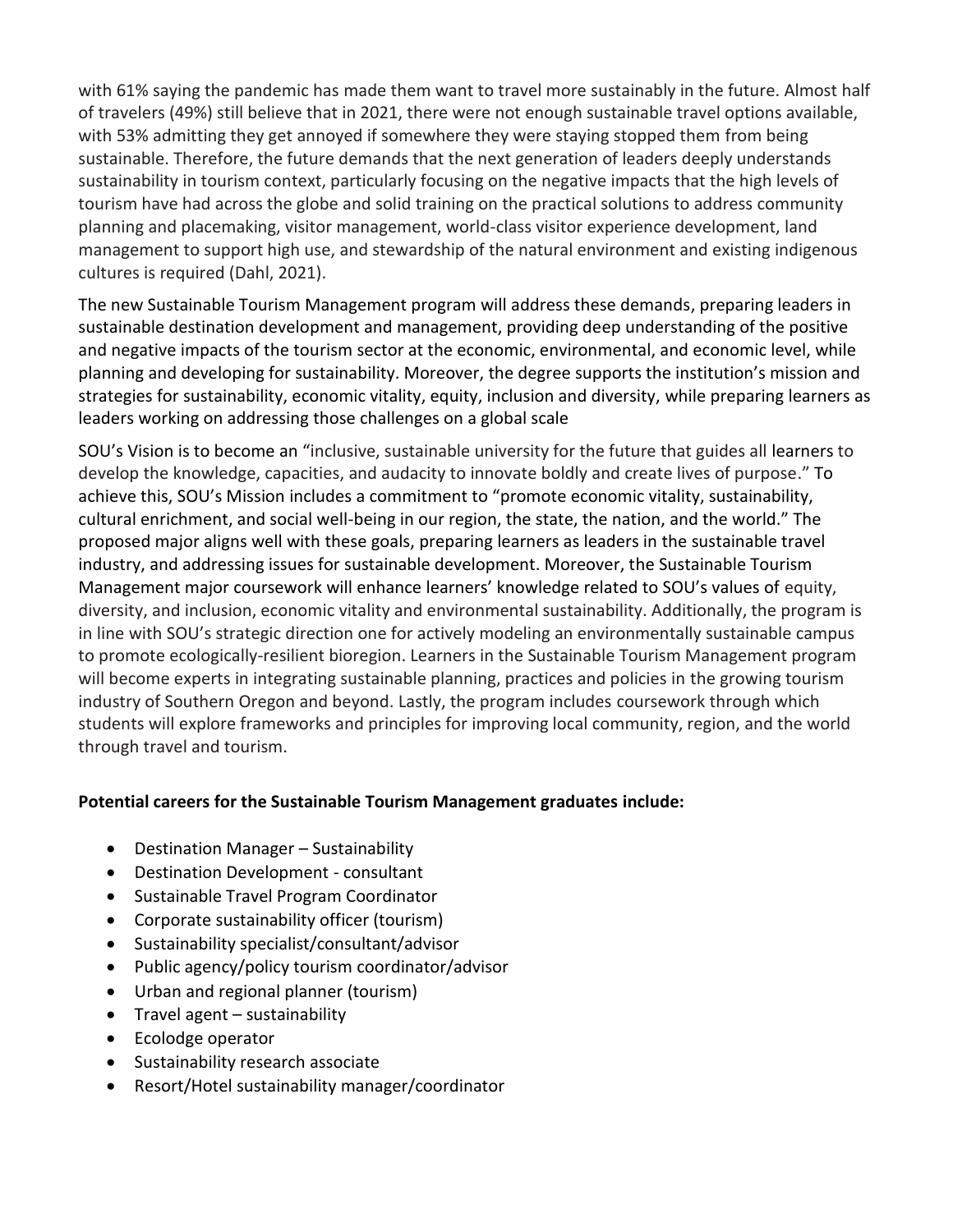with 61% saying the pandemic has made them want to travel more sustainably in the future. Almost half of travelers (49%) still believe that in 2021, there were not enough sustainable travel options available, with 53% admitting they get annoyed if somewhere they were staying stopped them from being sustainable. Therefore, the future demands that the next generation of leaders deeply understands sustainability in tourism context, particularly focusing on the negative impacts that the high levels of tourism have had across the globe and solid training on the practical solutions to address community planning and placemaking, visitor management, world-class visitor experience development, land management to support high use, and stewardship of the natural environment and existing indigenous cultures is required (Dahl, 2021).

The new Sustainable Tourism Management program will address these demands, preparing leaders in sustainable destination development and management, providing deep understanding of the positive and negative impacts of the tourism sector at the economic, environmental, and economic level, while planning and developing for sustainability. Moreover, the degree supports the institution's mission and strategies for sustainability, economic vitality, equity, inclusion and diversity, while preparing learners as leaders working on addressing those challenges on a global scale

SOU's Vision is to become an "inclusive, sustainable university for the future that guides all learners to develop the knowledge, capacities, and audacity to innovate boldly and create lives of purpose." To achieve this, SOU's Mission includes a commitment to "promote economic vitality, sustainability, cultural enrichment, and social well-being in our region, the state, the nation, and the world." The proposed major aligns well with these goals, preparing learners as leaders in the sustainable travel industry, and addressing issues for sustainable development. Moreover, the Sustainable Tourism Management major coursework will enhance learners' knowledge related to SOU's values of equity, diversity, and inclusion, economic vitality and environmental sustainability. Additionally, the program is in line with SOU's strategic direction one for actively modeling an environmentally sustainable campus to promote ecologically-resilient bioregion. Learners in the Sustainable Tourism Management program will become experts in integrating sustainable planning, practices and policies in the growing tourism industry of Southern Oregon and beyond. Lastly, the program includes coursework through which students will explore frameworks and principles for improving local community, region, and the world through travel and tourism.

# **Potential careers for the Sustainable Tourism Management graduates include:**

- Destination Manager Sustainability
- Destination Development consultant
- Sustainable Travel Program Coordinator
- Corporate sustainability officer (tourism)
- Sustainability specialist/consultant/advisor
- Public agency/policy tourism coordinator/advisor
- Urban and regional planner (tourism)
- Travel agent sustainability
- Ecolodge operator
- Sustainability research associate
- Resort/Hotel sustainability manager/coordinator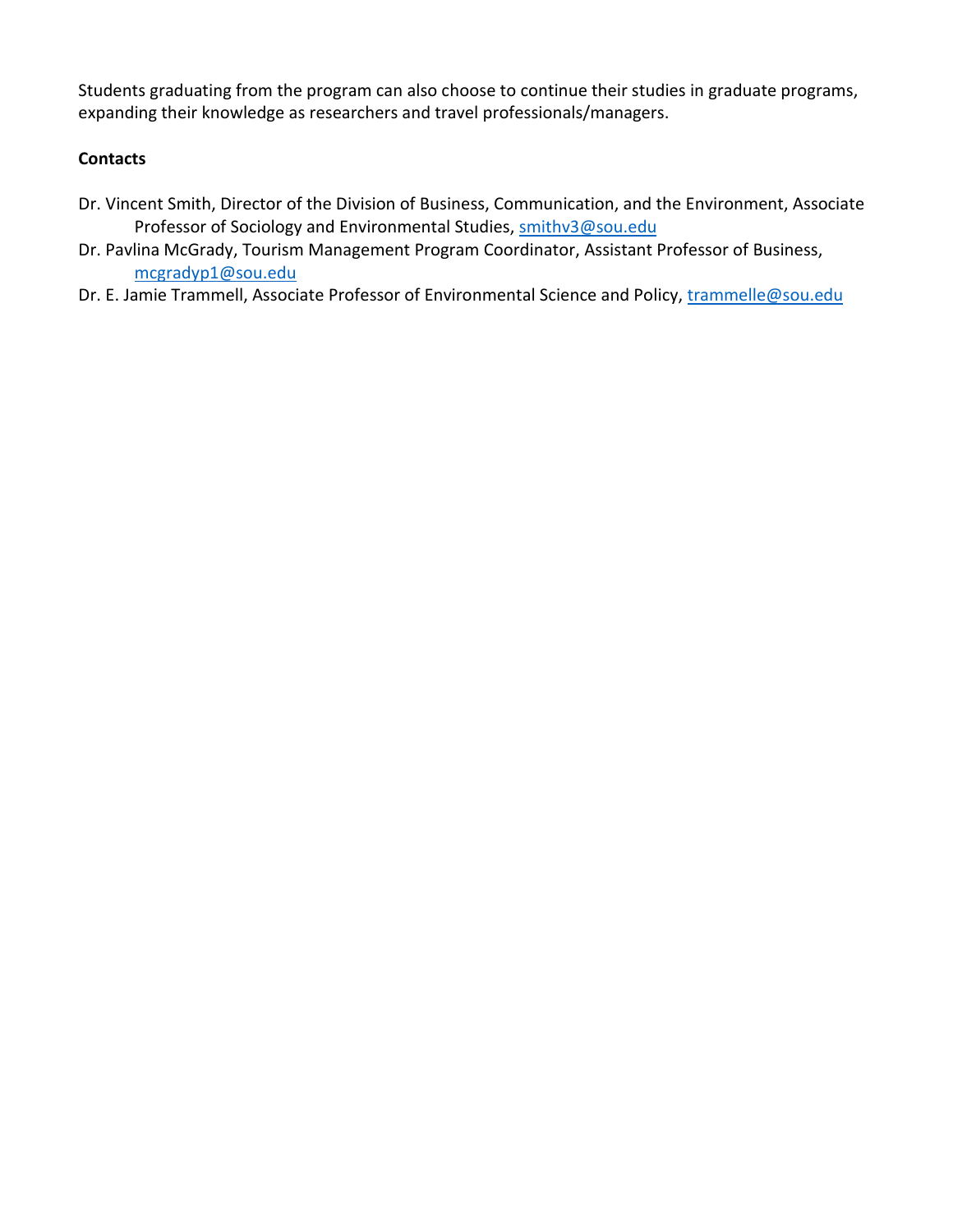Students graduating from the program can also choose to continue their studies in graduate programs, expanding their knowledge as researchers and travel professionals/managers.

# **Contacts**

- Dr. Vincent Smith, Director of the Division of Business, Communication, and the Environment, Associate Professor of Sociology and Environmental Studies, [smithv3@sou.edu](mailto:smithv3@sou.edu)
- Dr. Pavlina McGrady, Tourism Management Program Coordinator, Assistant Professor of Business, [mcgradyp1@sou.edu](mailto:mcgradyp1@sou.edu)
- Dr. E. Jamie Trammell, Associate Professor of Environmental Science and Policy, [trammelle@sou.edu](mailto:trammelle@sou.edu)